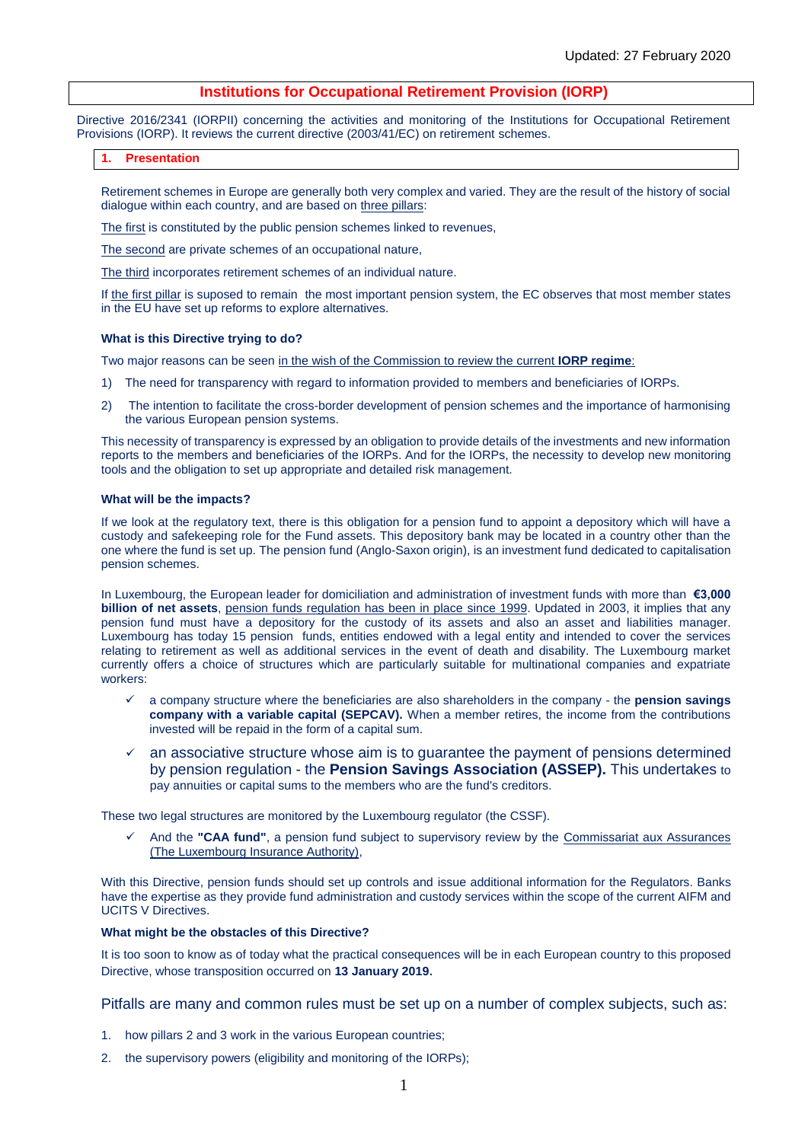# **Institutions for Occupational Retirement Provision (IORP)**

Directive 2016/2341 (IORPII) concerning the activities and monitoring of the Institutions for Occupational Retirement Provisions (IORP). It reviews the current directive (2003/41/EC) on retirement schemes.

## **1. Presentation**

Retirement schemes in Europe are generally both very complex and varied. They are the result of the history of social dialogue within each country, and are based on three pillars:

The first is constituted by the public pension schemes linked to revenues,

The second are private schemes of an occupational nature,

The third incorporates retirement schemes of an individual nature.

If the first pillar is suposed to remain the most important pension system, the EC observes that most member states in the EU have set up reforms to explore alternatives.

## **What is this Directive trying to do?**

Two major reasons can be seen in the wish of the Commission to review the current **IORP regime**:

- 1) The need for transparency with regard to information provided to members and beneficiaries of IORPs.
- 2) The intention to facilitate the cross-border development of pension schemes and the importance of harmonising the various European pension systems.

This necessity of transparency is expressed by an obligation to provide details of the investments and new information reports to the members and beneficiaries of the IORPs. And for the IORPs, the necessity to develop new monitoring tools and the obligation to set up appropriate and detailed risk management.

## **What will be the impacts?**

If we look at the regulatory text, there is this obligation for a pension fund to appoint a depository which will have a custody and safekeeping role for the Fund assets. This depository bank may be located in a country other than the one where the fund is set up. The pension fund (Anglo-Saxon origin), is an investment fund dedicated to capitalisation pension schemes.

In Luxembourg, the European leader for domiciliation and administration of investment funds with more than **€3,000 billion of net assets**, pension funds regulation has been in place since 1999. Updated in 2003, it implies that any pension fund must have a depository for the custody of its assets and also an asset and liabilities manager. Luxembourg has today 15 pension funds, entities endowed with a legal entity and intended to cover the services relating to retirement as well as additional services in the event of death and disability. The Luxembourg market currently offers a choice of structures which are particularly suitable for multinational companies and expatriate workers:

- a company structure where the beneficiaries are also shareholders in the company the **pension savings company with a variable capital (SEPCAV).** When a member retires, the income from the contributions invested will be repaid in the form of a capital sum.
- an associative structure whose aim is to guarantee the payment of pensions determined by pension regulation - the **Pension Savings Association (ASSEP).** This undertakes to pay annuities or capital sums to the members who are the fund's creditors.

These two legal structures are monitored by the Luxembourg regulator (the CSSF).

And the "CAA fund", a pension fund subject to supervisory review by the **Commissariat aux Assurances** (The Luxembourg Insurance Authority),

With this Directive, pension funds should set up controls and issue additional information for the Regulators. Banks have the expertise as they provide fund administration and custody services within the scope of the current AIFM and UCITS V Directives.

# **What might be the obstacles of this Directive?**

It is too soon to know as of today what the practical consequences will be in each European country to this proposed Directive, whose transposition occurred on **13 January 2019**.

Pitfalls are many and common rules must be set up on a number of complex subjects, such as:

- 1. how pillars 2 and 3 work in the various European countries;
- 2. the supervisory powers (eligibility and monitoring of the IORPs);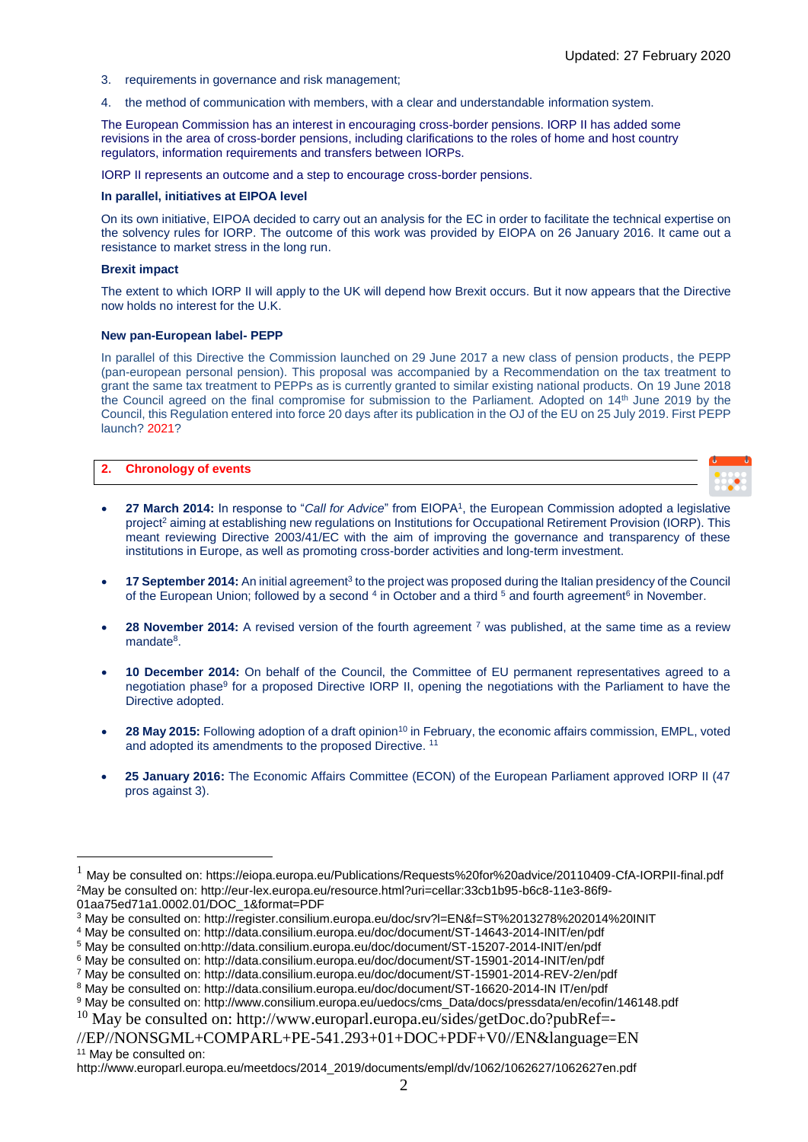- 3. requirements in governance and risk management;
- 4. the method of communication with members, with a clear and understandable information system.

The European Commission has an interest in encouraging cross-border pensions. IORP II has added some revisions in the area of cross-border pensions, including clarifications to the roles of home and host country regulators, information requirements and transfers between IORPs.

IORP II represents an outcome and a step to encourage cross-border pensions.

## **In parallel, initiatives at EIPOA level**

On its own initiative, EIPOA decided to carry out an analysis for the EC in order to facilitate the technical expertise on the solvency rules for IORP. The outcome of this work was provided by EIOPA on 26 January 2016. It came out a resistance to market stress in the long run.

## **Brexit impact**

1

The extent to which IORP II will apply to the UK will depend how Brexit occurs. But it now appears that the Directive now holds no interest for the U.K.

## **New pan-European label- PEPP**

In parallel of this Directive the Commission launched on 29 June 2017 a new class of pension products, the PEPP (pan-european personal pension). This proposal was accompanied by a Recommendation on the tax treatment to grant the same tax treatment to PEPPs as is currently granted to similar existing national products. On 19 June 2018 the Council agreed on the final compromise for submission to the Parliament. Adopted on 14<sup>th</sup> June 2019 by the Council, this Regulation entered into force 20 days after its publication in the OJ of the EU on 25 July 2019. First PEPP launch? 2021?

| 2. Chronology of events |  |
|-------------------------|--|

- **27 March 2014:** In response to "*Call for Advice*" from EIOPA<sup>1</sup>, the European Commission adopted a legislative project<sup>2</sup> aiming at establishing new regulations on Institutions for Occupational Retirement Provision (IORP). This meant reviewing Directive 2003/41/EC with the aim of improving the governance and transparency of these institutions in Europe, as well as promoting cross-border activities and long-term investment.
- **17 September 2014:** An initial agreement<sup>3</sup> to the project was proposed during the Italian presidency of the Council of the European Union; followed by a second <sup>4</sup> in October and a third <sup>5</sup> and fourth agreement<sup>6</sup> in November.
- **28 November 2014:** A revised version of the fourth agreement <sup>7</sup> was published, at the same time as a review mandate<sup>8</sup>.
- **10 December 2014:** On behalf of the Council, the Committee of EU permanent representatives agreed to a negotiation phase<sup>9</sup> for a proposed Directive IORP II, opening the negotiations with the Parliament to have the Directive adopted.
- **28 May 2015:** Following adoption of a draft opinion<sup>10</sup> in February, the economic affairs commission, EMPL, voted and adopted its amendments to the proposed Directive. <sup>11</sup>
- **25 January 2016:** The Economic Affairs Committee (ECON) of the European Parliament approved IORP II (47 pros against 3).

<sup>1</sup> May be consulted on: https://eiopa.europa.eu/Publications/Requests%20for%20advice/20110409-CfA-IORPII-final.pdf <sup>2</sup>May be consulted on: http://eur-lex.europa.eu/resource.html?uri=cellar:33cb1b95-b6c8-11e3-86f9- 01aa75ed71a1.0002.01/DOC\_1&format=PDF

<sup>3</sup> May be consulted on: http://register.consilium.europa.eu/doc/srv?l=EN&f=ST%2013278%202014%20INIT

<sup>4</sup> May be consulted on: http://data.consilium.europa.eu/doc/document/ST-14643-2014-INIT/en/pdf

<sup>5</sup> May be consulted on:http://data.consilium.europa.eu/doc/document/ST-15207-2014-INIT/en/pdf

<sup>6</sup> May be consulted on: http://data.consilium.europa.eu/doc/document/ST-15901-2014-INIT/en/pdf

<sup>7</sup> May be consulted on: http://data.consilium.europa.eu/doc/document/ST-15901-2014-REV-2/en/pdf

<sup>8</sup> May be consulted on: http://data.consilium.europa.eu/doc/document/ST-16620-2014-IN IT/en/pdf

<sup>9</sup> May be consulted on: http://www.consilium.europa.eu/uedocs/cms\_Data/docs/pressdata/en/ecofin/146148.pdf

<sup>10</sup> May be consulted on: http://www.europarl.europa.eu/sides/getDoc.do?pubRef=-

<sup>//</sup>EP//NONSGML+COMPARL+PE-541.293+01+DOC+PDF+V0//EN&language=EN <sup>11</sup> May be consulted on:

http://www.europarl.europa.eu/meetdocs/2014\_2019/documents/empl/dv/1062/1062627/1062627en.pdf